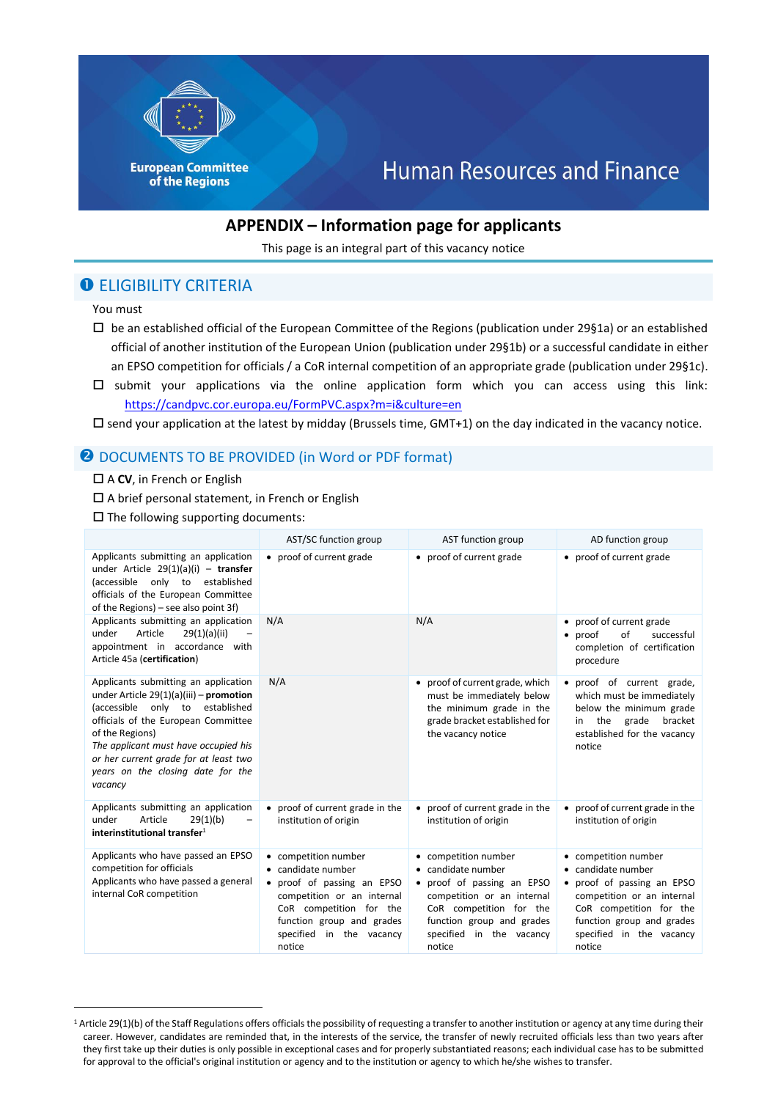

# **Human Resources and Finance**

## **APPENDIX – Information page for applicants**

This page is an integral part of this vacancy notice

## **O ELIGIBILITY CRITERIA**

You must

1

- $\square$  be an established official of the European Committee of the Regions (publication under 29§1a) or an established official of another institution of the European Union (publication under 29§1b) or a successful candidate in either an EPSO competition for officials / a CoR internal competition of an appropriate grade (publication under 29§1c).
- $\square$  submit your applications via the online application form which you can access using this link: <https://candpvc.cor.europa.eu/FormPVC.aspx?m=i&culture=en>

 $\square$  send your application at the latest by midday (Brussels time, GMT+1) on the day indicated in the vacancy notice.

## **@ DOCUMENTS TO BE PROVIDED (in Word or PDF format)**

#### □ A **CV**, in French or English

A brief personal statement, in French or English

 $\square$  The following supporting documents:

|                                                                                                                                                                                                                                                                                                                       | AST/SC function group                                                                                                                                                                              | AST function group                                                                                                                                                                                   | AD function group                                                                                                                                                                                    |
|-----------------------------------------------------------------------------------------------------------------------------------------------------------------------------------------------------------------------------------------------------------------------------------------------------------------------|----------------------------------------------------------------------------------------------------------------------------------------------------------------------------------------------------|------------------------------------------------------------------------------------------------------------------------------------------------------------------------------------------------------|------------------------------------------------------------------------------------------------------------------------------------------------------------------------------------------------------|
| Applicants submitting an application<br>under Article $29(1)(a)(i)$ - transfer<br>only to<br>established<br>(accessible<br>officials of the European Committee<br>of the Regions) – see also point 3f)                                                                                                                | • proof of current grade                                                                                                                                                                           | • proof of current grade                                                                                                                                                                             | • proof of current grade                                                                                                                                                                             |
| Applicants submitting an application<br>Article<br>29(1)(a)(ii)<br>under<br>appointment in accordance with<br>Article 45a (certification)                                                                                                                                                                             | N/A                                                                                                                                                                                                | N/A                                                                                                                                                                                                  | • proof of current grade<br>proof<br>of<br>successful<br>$\bullet$<br>completion of certification<br>procedure                                                                                       |
| Applicants submitting an application<br>under Article $29(1)(a)(iii)$ – promotion<br>only to<br>established<br>(accessible<br>officials of the European Committee<br>of the Regions)<br>The applicant must have occupied his<br>or her current grade for at least two<br>years on the closing date for the<br>vacancy | N/A                                                                                                                                                                                                | • proof of current grade, which<br>must be immediately below<br>the minimum grade in the<br>grade bracket established for<br>the vacancy notice                                                      | • proof of current grade,<br>which must be immediately<br>below the minimum grade<br>grade<br>the<br>bracket<br>in<br>established for the vacancy<br>notice                                          |
| Applicants submitting an application<br>Article<br>under<br>29(1)(b)<br>interinstitutional transfer $1$                                                                                                                                                                                                               | • proof of current grade in the<br>institution of origin                                                                                                                                           | • proof of current grade in the<br>institution of origin                                                                                                                                             | • proof of current grade in the<br>institution of origin                                                                                                                                             |
| Applicants who have passed an EPSO<br>competition for officials<br>Applicants who have passed a general<br>internal CoR competition                                                                                                                                                                                   | • competition number<br>• candidate number<br>proof of passing an EPSO<br>competition or an internal<br>CoR competition for the<br>function group and grades<br>specified in the vacancy<br>notice | • competition number<br>• candidate number<br>• proof of passing an EPSO<br>competition or an internal<br>CoR competition for the<br>function group and grades<br>specified in the vacancy<br>notice | • competition number<br>• candidate number<br>• proof of passing an EPSO<br>competition or an internal<br>CoR competition for the<br>function group and grades<br>specified in the vacancy<br>notice |

<sup>&</sup>lt;sup>1</sup> Article 29(1)(b) of the Staff Regulations offers officials the possibility of requesting a transfer to another institution or agency at any time during their career. However, candidates are reminded that, in the interests of the service, the transfer of newly recruited officials less than two years after they first take up their duties is only possible in exceptional cases and for properly substantiated reasons; each individual case has to be submitted for approval to the official's original institution or agency and to the institution or agency to which he/she wishes to transfer.